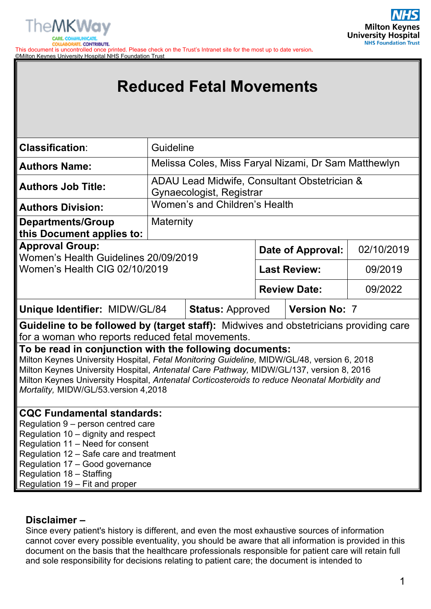

TE. CONTRIBUTE. This document is uncontrolled once printed. Please check on the Trust's Intranet site for the most up to date version**.**  ©Milton Keynes University Hospital NHS Foundation Trust

| <b>Classification:</b>                                                                                                                                                                                                                                                                                                                                                                    | Guideline                                                                |                               |                          |                     |            |
|-------------------------------------------------------------------------------------------------------------------------------------------------------------------------------------------------------------------------------------------------------------------------------------------------------------------------------------------------------------------------------------------|--------------------------------------------------------------------------|-------------------------------|--------------------------|---------------------|------------|
| <b>Authors Name:</b>                                                                                                                                                                                                                                                                                                                                                                      | Melissa Coles, Miss Faryal Nizami, Dr Sam Matthewlyn                     |                               |                          |                     |            |
| <b>Authors Job Title:</b>                                                                                                                                                                                                                                                                                                                                                                 | ADAU Lead Midwife, Consultant Obstetrician &<br>Gynaecologist, Registrar |                               |                          |                     |            |
| <b>Authors Division:</b>                                                                                                                                                                                                                                                                                                                                                                  |                                                                          | Women's and Children's Health |                          |                     |            |
| <b>Departments/Group</b><br>this Document applies to:                                                                                                                                                                                                                                                                                                                                     | Maternity                                                                |                               |                          |                     |            |
| <b>Approval Group:</b>                                                                                                                                                                                                                                                                                                                                                                    |                                                                          |                               | <b>Date of Approval:</b> |                     | 02/10/2019 |
| Women's Health Guidelines 20/09/2019<br>Women's Health CIG 02/10/2019                                                                                                                                                                                                                                                                                                                     |                                                                          |                               |                          | <b>Last Review:</b> | 09/2019    |
|                                                                                                                                                                                                                                                                                                                                                                                           |                                                                          |                               | <b>Review Date:</b>      |                     | 09/2022    |
| Unique Identifier: MIDW/GL/84                                                                                                                                                                                                                                                                                                                                                             | <b>Status: Approved</b>                                                  | <b>Version No: 7</b>          |                          |                     |            |
| Guideline to be followed by (target staff): Midwives and obstetricians providing care<br>for a woman who reports reduced fetal movements.                                                                                                                                                                                                                                                 |                                                                          |                               |                          |                     |            |
| To be read in conjunction with the following documents:<br>Milton Keynes University Hospital, Fetal Monitoring Guideline, MIDW/GL/48, version 6, 2018<br>Milton Keynes University Hospital, Antenatal Care Pathway, MIDW/GL/137, version 8, 2016<br>Milton Keynes University Hospital, Antenatal Corticosteroids to reduce Neonatal Morbidity and<br>Mortality, MIDW/GL/53 version 4,2018 |                                                                          |                               |                          |                     |            |
| <b>CQC Fundamental standards:</b><br>Regulation 9 - person centred care<br>Regulation 10 - dignity and respect<br>Regulation 11 - Need for consent<br>Regulation 12 - Safe care and treatment<br>Regulation 17 - Good governance<br>Regulation 18 - Staffing<br>Regulation 19 - Fit and proper                                                                                            |                                                                          |                               |                          |                     |            |

#### **Disclaimer –**

Since every patient's history is different, and even the most exhaustive sources of information cannot cover every possible eventuality, you should be aware that all information is provided in this document on the basis that the healthcare professionals responsible for patient care will retain full and sole responsibility for decisions relating to patient care; the document is intended to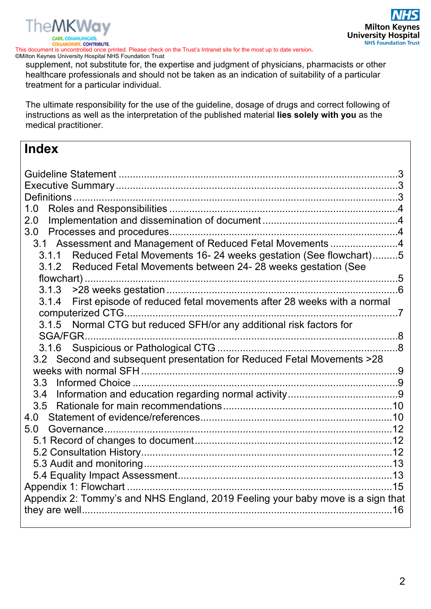

This document is uncontrolled once printed. Please check on the Trust's Intranet site for the most up to date version**.**  ©Milton Keynes University Hospital NHS Foundation Trust

supplement, not substitute for, the expertise and judgment of physicians, pharmacists or other healthcare professionals and should not be taken as an indication of suitability of a particular treatment for a particular individual.

The ultimate responsibility for the use of the guideline, dosage of drugs and correct following of instructions as well as the interpretation of the published material **lies solely with you** as the medical practitioner.

# **Index**

| 1.0                                                                             |  |
|---------------------------------------------------------------------------------|--|
| 2.0                                                                             |  |
|                                                                                 |  |
| 3.1 Assessment and Management of Reduced Fetal Movements 4                      |  |
| Reduced Fetal Movements 16-24 weeks gestation (See flowchart)5<br>3.1.1         |  |
| Reduced Fetal Movements between 24- 28 weeks gestation (See<br>3.1.2            |  |
|                                                                                 |  |
|                                                                                 |  |
| 3.1.4 First episode of reduced fetal movements after 28 weeks with a normal     |  |
|                                                                                 |  |
| 3.1.5 Normal CTG but reduced SFH/or any additional risk factors for             |  |
| SGA/FGR.                                                                        |  |
|                                                                                 |  |
| 3.2 Second and subsequent presentation for Reduced Fetal Movements > 28         |  |
| 3.3                                                                             |  |
| 3.4                                                                             |  |
| 3.5                                                                             |  |
| 4.0                                                                             |  |
| 5.0                                                                             |  |
|                                                                                 |  |
|                                                                                 |  |
|                                                                                 |  |
|                                                                                 |  |
|                                                                                 |  |
| Appendix 2: Tommy's and NHS England, 2019 Feeling your baby move is a sign that |  |
|                                                                                 |  |
|                                                                                 |  |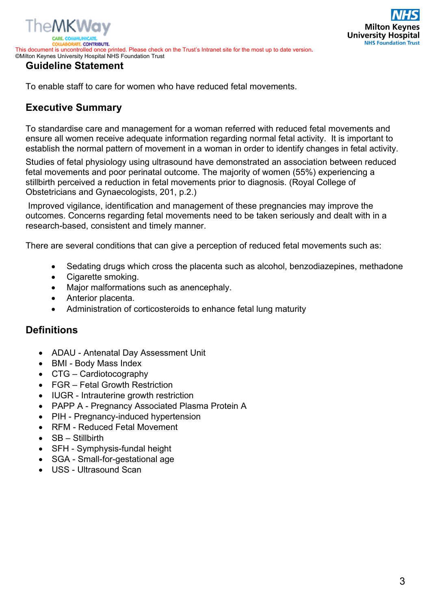

#### <span id="page-2-0"></span>**Guideline Statement**

To enable staff to care for women who have reduced fetal movements.

### <span id="page-2-1"></span>**Executive Summary**

To standardise care and management for a woman referred with reduced fetal movements and ensure all women receive adequate information regarding normal fetal activity. It is important to establish the normal pattern of movement in a woman in order to identify changes in fetal activity.

Studies of fetal physiology using ultrasound have demonstrated an association between reduced fetal movements and poor perinatal outcome. The majority of women (55%) experiencing a stillbirth perceived a reduction in fetal movements prior to diagnosis. (Royal College of Obstetricians and Gynaecologists, 201, p.2.)

Improved vigilance, identification and management of these pregnancies may improve the outcomes. Concerns regarding fetal movements need to be taken seriously and dealt with in a research-based, consistent and timely manner.

There are several conditions that can give a perception of reduced fetal movements such as:

- Sedating drugs which cross the placenta such as alcohol, benzodiazepines, methadone
- Cigarette smoking.
- Major malformations such as anencephaly.
- Anterior placenta.
- Administration of corticosteroids to enhance fetal lung maturity

#### <span id="page-2-2"></span>**Definitions**

- ADAU Antenatal Day Assessment Unit
- BMI Body Mass Index
- CTG Cardiotocography
- FGR Fetal Growth Restriction
- IUGR Intrauterine growth restriction
- PAPP A Pregnancy Associated Plasma Protein A
- PIH Pregnancy-induced hypertension
- RFM Reduced Fetal Movement
- SB Stillbirth
- SFH Symphysis-fundal height
- SGA Small-for-gestational age
- USS Ultrasound Scan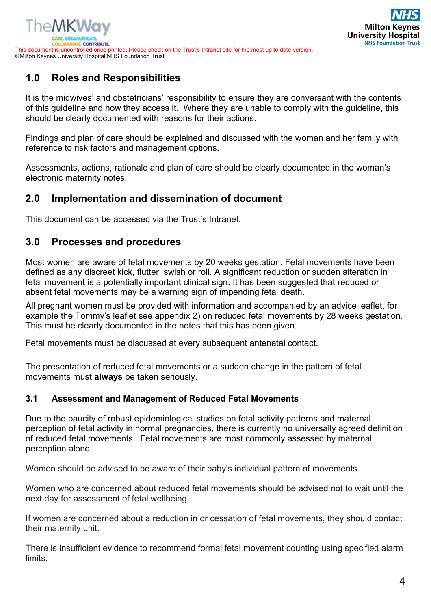

## <span id="page-3-0"></span>**1.0 Roles and Responsibilities**

It is the midwives' and obstetricians' responsibility to ensure they are conversant with the contents of this guideline and how they access it. Where they are unable to comply with the guideline, this should be clearly documented with reasons for their actions.

Findings and plan of care should be explained and discussed with the woman and her family with reference to risk factors and management options.

Assessments, actions, rationale and plan of care should be clearly documented in the woman's electronic maternity notes.

### <span id="page-3-1"></span>**2.0 Implementation and dissemination of document**

This document can be accessed via the Trust's Intranet.

### <span id="page-3-2"></span>**3.0 Processes and procedures**

Most women are aware of fetal movements by 20 weeks gestation. Fetal movements have been defined as any discreet kick, flutter, swish or roll. A significant reduction or sudden alteration in fetal movement is a potentially important clinical sign. It has been suggested that reduced or absent fetal movements may be a warning sign of impending fetal death.

All pregnant women must be provided with information and accompanied by an advice leaflet, for example the Tommy's leaflet see appendix 2) on reduced fetal movements by 28 weeks gestation. This must be clearly documented in the notes that this has been given.

Fetal movements must be discussed at every subsequent antenatal contact.

The presentation of reduced fetal movements or a sudden change in the pattern of fetal movements must **always** be taken seriously.

#### <span id="page-3-3"></span>**3.1 Assessment and Management of Reduced Fetal Movements**

Due to the paucity of robust epidemiological studies on fetal activity patterns and maternal perception of fetal activity in normal pregnancies, there is currently no universally agreed definition of reduced fetal movements. Fetal movements are most commonly assessed by maternal perception alone.

Women should be advised to be aware of their baby's individual pattern of movements.

Women who are concerned about reduced fetal movements should be advised not to wait until the next day for assessment of fetal wellbeing.

If women are concerned about a reduction in or cessation of fetal movements, they should contact their maternity unit.

There is insufficient evidence to recommend formal fetal movement counting using specified alarm limits.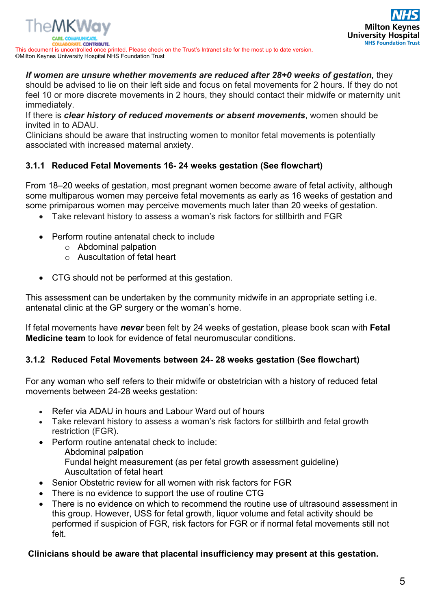

#### If women are unsure whether movements are reduced after 28+0 weeks of gestation, they

should be advised to lie on their left side and focus on fetal movements for 2 hours. If they do not feel 10 or more discrete movements in 2 hours, they should contact their midwife or maternity unit immediately.

#### If there is *clear history of reduced movements or absent movements*, women should be invited in to ADAU.

Clinicians should be aware that instructing women to monitor fetal movements is potentially associated with increased maternal anxiety.

#### <span id="page-4-0"></span>**3.1.1 Reduced Fetal Movements 16- 24 weeks gestation (See flowchart)**

From 18–20 weeks of gestation, most pregnant women become aware of fetal activity, although some multiparous women may perceive fetal movements as early as 16 weeks of gestation and some primiparous women may perceive movements much later than 20 weeks of gestation.

- Take relevant history to assess a woman's risk factors for stillbirth and FGR
- Perform routine antenatal check to include
	- o Abdominal palpation
	- o Auscultation of fetal heart
- CTG should not be performed at this gestation.

This assessment can be undertaken by the community midwife in an appropriate setting i.e. antenatal clinic at the GP surgery or the woman's home.

If fetal movements have *never* been felt by 24 weeks of gestation, please book scan with **Fetal Medicine team** to look for evidence of fetal neuromuscular conditions.

#### <span id="page-4-1"></span>**3.1.2 Reduced Fetal Movements between 24- 28 weeks gestation (See flowchart)**

For any woman who self refers to their midwife or obstetrician with a history of reduced fetal movements between 24-28 weeks gestation:

- Refer via ADAU in hours and Labour Ward out of hours
- Take relevant history to assess a woman's risk factors for stillbirth and fetal growth restriction (FGR).
- Perform routine antenatal check to include: Abdominal palpation Fundal height measurement (as per fetal growth assessment guideline) Auscultation of fetal heart
- Senior Obstetric review for all women with risk factors for FGR
- There is no evidence to support the use of routine CTG
- There is no evidence on which to recommend the routine use of ultrasound assessment in this group. However, USS for fetal growth, liquor volume and fetal activity should be performed if suspicion of FGR, risk factors for FGR or if normal fetal movements still not felt.

#### **Clinicians should be aware that placental insufficiency may present at this gestation.**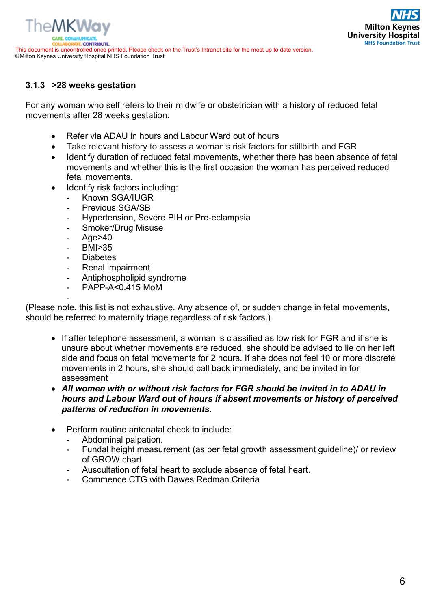

### <span id="page-5-0"></span>**3.1.3 >28 weeks gestation**

For any woman who self refers to their midwife or obstetrician with a history of reduced fetal movements after 28 weeks gestation:

- Refer via ADAU in hours and Labour Ward out of hours
- Take relevant history to assess a woman's risk factors for stillbirth and FGR
- Identify duration of reduced fetal movements, whether there has been absence of fetal movements and whether this is the first occasion the woman has perceived reduced fetal movements.
- Identify risk factors including:
	- Known SGA/IUGR
	- Previous SGA/SB
	- Hypertension, Severe PIH or Pre-eclampsia
	- Smoker/Drug Misuse
	- Age>40
	- BMI>35
	- **Diabetes**
	- Renal impairment
	- Antiphospholipid syndrome
	- PAPP-A<0.415 MoM

-

(Please note, this list is not exhaustive. Any absence of, or sudden change in fetal movements, should be referred to maternity triage regardless of risk factors.)

- If after telephone assessment, a woman is classified as low risk for FGR and if she is unsure about whether movements are reduced, she should be advised to lie on her left side and focus on fetal movements for 2 hours. If she does not feel 10 or more discrete movements in 2 hours, she should call back immediately, and be invited in for assessment
- *All women with or without risk factors for FGR should be invited in to ADAU in hours and Labour Ward out of hours if absent movements or history of perceived patterns of reduction in movements*.
- Perform routine antenatal check to include:
	- Abdominal palpation.
	- Fundal height measurement (as per fetal growth assessment guideline)/ or review of GROW chart
	- Auscultation of fetal heart to exclude absence of fetal heart.
	- Commence CTG with Dawes Redman Criteria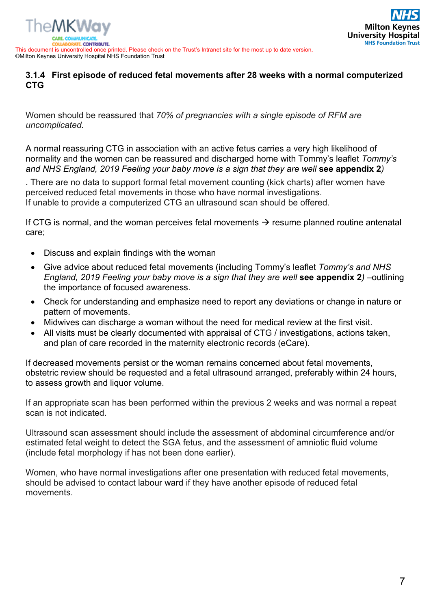

#### <span id="page-6-0"></span>**3.1.4 First episode of reduced fetal movements after 28 weeks with a normal computerized CTG**

Women should be reassured that *70% of pregnancies with a single episode of RFM are uncomplicated.*

A normal reassuring CTG in association with an active fetus carries a very high likelihood of normality and the women can be reassured and discharged home with Tommy's leaflet *Tommy's and NHS England, 2019 Feeling your baby move is a sign that they are well* **see appendix 2***)*

. There are no data to support formal fetal movement counting (kick charts) after women have perceived reduced fetal movements in those who have normal investigations. If unable to provide a computerized CTG an ultrasound scan should be offered.

If CTG is normal, and the woman perceives fetal movements  $\rightarrow$  resume planned routine antenatal care;

- Discuss and explain findings with the woman
- Give advice about reduced fetal movements (including Tommy's leaflet *Tommy's and NHS England, 2019 Feeling your baby move is a sign that they are well* **see appendix 2***)* –outlining the importance of focused awareness.
- Check for understanding and emphasize need to report any deviations or change in nature or pattern of movements.
- Midwives can discharge a woman without the need for medical review at the first visit.
- All visits must be clearly documented with appraisal of CTG / investigations, actions taken, and plan of care recorded in the maternity electronic records (eCare).

If decreased movements persist or the woman remains concerned about fetal movements, obstetric review should be requested and a fetal ultrasound arranged, preferably within 24 hours, to assess growth and liquor volume.

If an appropriate scan has been performed within the previous 2 weeks and was normal a repeat scan is not indicated.

Ultrasound scan assessment should include the assessment of abdominal circumference and/or estimated fetal weight to detect the SGA fetus, and the assessment of amniotic fluid volume (include fetal morphology if has not been done earlier).

Women, who have normal investigations after one presentation with reduced fetal movements, should be advised to contact labour ward if they have another episode of reduced fetal movements.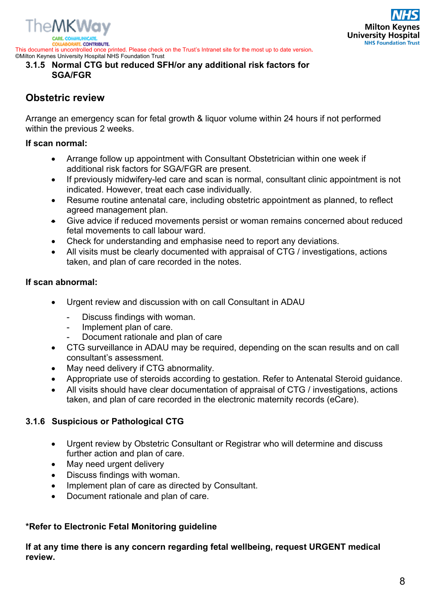



#### <span id="page-7-0"></span>**3.1.5 Normal CTG but reduced SFH/or any additional risk factors for SGA/FGR**

### **Obstetric review**

Arrange an emergency scan for fetal growth & liquor volume within 24 hours if not performed within the previous 2 weeks.

#### **If scan normal:**

- Arrange follow up appointment with Consultant Obstetrician within one week if additional risk factors for SGA/FGR are present.
- If previously midwifery-led care and scan is normal, consultant clinic appointment is not indicated. However, treat each case individually.
- Resume routine antenatal care, including obstetric appointment as planned, to reflect agreed management plan.
- Give advice if reduced movements persist or woman remains concerned about reduced fetal movements to call labour ward.
- Check for understanding and emphasise need to report any deviations.
- All visits must be clearly documented with appraisal of CTG / investigations, actions taken, and plan of care recorded in the notes.

#### **If scan abnormal:**

- Urgent review and discussion with on call Consultant in ADAU
	- Discuss findings with woman.
	- Implement plan of care.
	- Document rationale and plan of care
- CTG surveillance in ADAU may be required, depending on the scan results and on call consultant's assessment.
- May need delivery if CTG abnormality.
- Appropriate use of steroids according to gestation. Refer to Antenatal Steroid guidance.
- All visits should have clear documentation of appraisal of CTG / investigations, actions taken, and plan of care recorded in the electronic maternity records (eCare).

#### <span id="page-7-1"></span>**3.1.6 Suspicious or Pathological CTG**

- Urgent review by Obstetric Consultant or Registrar who will determine and discuss further action and plan of care.
- May need urgent delivery
- Discuss findings with woman.
- Implement plan of care as directed by Consultant.
- Document rationale and plan of care.

#### **\*Refer to Electronic Fetal Monitoring guideline**

**If at any time there is any concern regarding fetal wellbeing, request URGENT medical review.**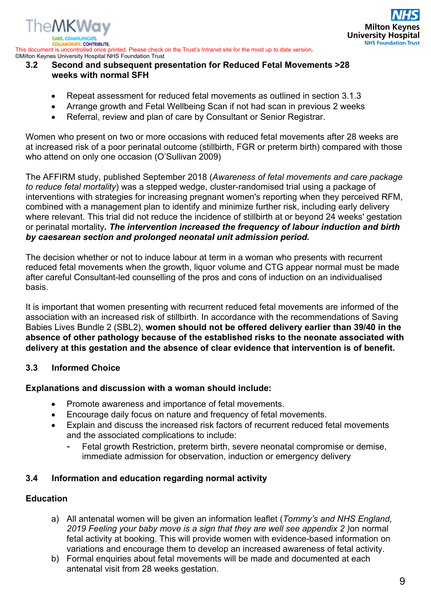

#### <span id="page-8-0"></span>**3.2 Second and subsequent presentation for Reduced Fetal Movements >28 weeks with normal SFH**

- Repeat assessment for reduced fetal movements as outlined in section 3.1.3
- Arrange growth and Fetal Wellbeing Scan if not had scan in previous 2 weeks
- Referral, review and plan of care by Consultant or Senior Registrar.

Women who present on two or more occasions with reduced fetal movements after 28 weeks are at increased risk of a poor perinatal outcome (stillbirth, FGR or preterm birth) compared with those who attend on only one occasion (O'Sullivan 2009)

The AFFIRM study, published September 2018 (*Awareness of fetal movements and care package to reduce fetal mortality*) was a stepped wedge, cluster-randomised trial using a package of interventions with strategies for increasing pregnant women's reporting when they perceived RFM, combined with a management plan to identify and minimize further risk, including early delivery where relevant. This trial did not reduce the incidence of stillbirth at or beyond 24 weeks' gestation or perinatal mortality*. The intervention increased the frequency of labour induction and birth by caesarean section and prolonged neonatal unit admission period.*

The decision whether or not to induce labour at term in a woman who presents with recurrent reduced fetal movements when the growth, liquor volume and CTG appear normal must be made after careful Consultant-led counselling of the pros and cons of induction on an individualised basis.

It is important that women presenting with recurrent reduced fetal movements are informed of the association with an increased risk of stillbirth. In accordance with the recommendations of Saving Babies Lives Bundle 2 (SBL2), **women should not be offered delivery earlier than 39/40 in the absence of other pathology because of the established risks to the neonate associated with delivery at this gestation and the absence of clear evidence that intervention is of benefit.**

#### <span id="page-8-1"></span>**3.3 Informed Choice**

#### **Explanations and discussion with a woman should include:**

- Promote awareness and importance of fetal movements.
- Encourage daily focus on nature and frequency of fetal movements.
- Explain and discuss the increased risk factors of recurrent reduced fetal movements and the associated complications to include:
	- Fetal growth Restriction, preterm birth, severe neonatal compromise or demise, immediate admission for observation, induction or emergency delivery

#### <span id="page-8-2"></span>**3.4 Information and education regarding normal activity**

#### **Education**

- a) All antenatal women will be given an information leaflet (*Tommy's and NHS England, 2019 Feeling your baby move is a sign that they are well see appendix 2 )*on normal fetal activity at booking. This will provide women with evidence-based information on variations and encourage them to develop an increased awareness of fetal activity.
- b) Formal enquiries about fetal movements will be made and documented at each antenatal visit from 28 weeks gestation.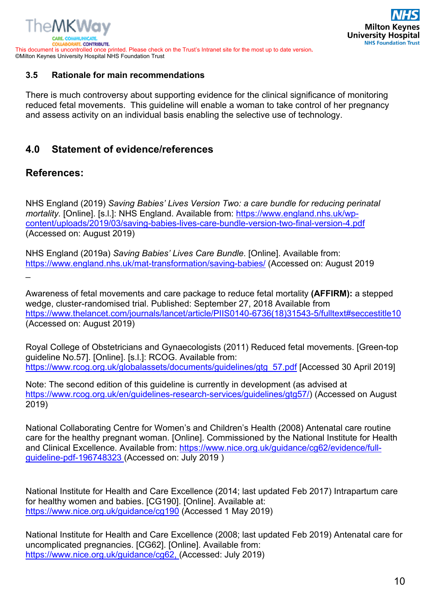

#### <span id="page-9-0"></span>**3.5 Rationale for main recommendations**

There is much controversy about supporting evidence for the clinical significance of monitoring reduced fetal movements. This guideline will enable a woman to take control of her pregnancy and assess activity on an individual basis enabling the selective use of technology.

### <span id="page-9-1"></span>**4.0 Statement of evidence/references**

### **References:**

NHS England (2019) *Saving Babies' Lives Version Two: a care bundle for reducing perinatal mortality.* [Online]. [s.l.]: NHS England. Available from: [https://www.england.nhs.uk/wp](https://www.england.nhs.uk/wp-content/uploads/2019/03/saving-babies-lives-care-bundle-version-two-final-version-4.pdf)[content/uploads/2019/03/saving-babies-lives-care-bundle-version-two-final-version-4.pdf](https://www.england.nhs.uk/wp-content/uploads/2019/03/saving-babies-lives-care-bundle-version-two-final-version-4.pdf) (Accessed on: August 2019)

NHS England (2019a) *Saving Babies' Lives Care Bundle*. [Online]. Available from: <https://www.england.nhs.uk/mat-transformation/saving-babies/> (Accessed on: August 2019

 $\overline{a}$ 

Awareness of fetal movements and care package to reduce fetal mortality **(AFFIRM):** a stepped wedge, cluster-randomised trial. Published: September 27, 2018 Available from [https://www.thelancet.com/journals/lancet/article/PIIS0140-6736\(18\)31543-5/fulltext#seccestitle10](https://www.thelancet.com/journals/lancet/article/PIIS0140-6736(18)31543-5/fulltext#seccestitle10) (Accessed on: August 2019)

Royal College of Obstetricians and Gynaecologists (2011) Reduced fetal movements. [Green-top guideline No.57]. [Online]. [s.l.]: RCOG. Available from: [https://www.rcog.org.uk/globalassets/documents/guidelines/gtg\\_57.pdf](https://www.rcog.org.uk/globalassets/documents/guidelines/gtg_57.pdf) [Accessed 30 April 2019]

Note: The second edition of this guideline is currently in development (as advised at [https://www.rcog.org.uk/en/guidelines-research-services/guidelines/gtg57/\)](https://www.rcog.org.uk/en/guidelines-research-services/guidelines/gtg57/) (Accessed on August 2019)

National Collaborating Centre for Women's and Children's Health (2008) Antenatal care routine care for the healthy pregnant woman. [Online]. Commissioned by the National Institute for Health and Clinical Excellence. Available from: [https://www.nice.org.uk/guidance/cg62/evidence/full](https://www.nice.org.uk/guidance/cg62/evidence/full-guideline-pdf-196748323)[guideline-pdf-196748323](https://www.nice.org.uk/guidance/cg62/evidence/full-guideline-pdf-196748323) (Accessed on: July 2019 )

National Institute for Health and Care Excellence (2014; last updated Feb 2017) Intrapartum care for healthy women and babies. [CG190]. [Online]. Available at: <https://www.nice.org.uk/guidance/cg190>(Accessed 1 May 2019)

National Institute for Health and Care Excellence (2008; last updated Feb 2019) Antenatal care for uncomplicated pregnancies. [CG62]. [Online]. Available from: [https://www.nice.org.uk/guidance/cg62,](https://www.nice.org.uk/guidance/cg62) (Accessed: July 2019)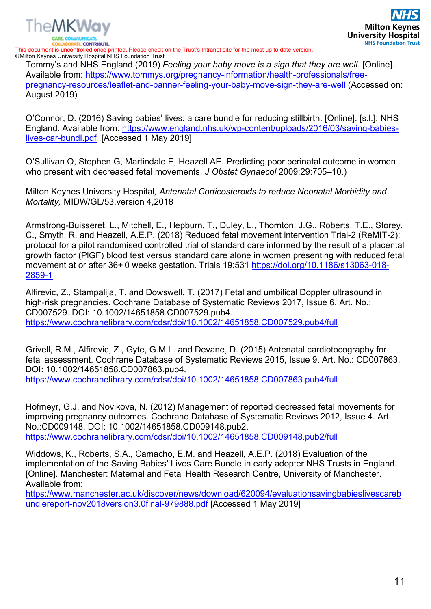

This document is uncontrolled once printed. Please check on the Trust's Intranet site for the most up to date version**.**  ©Milton Keynes University Hospital NHS Foundation Trust Tommy's and NHS England (2019) *Feeling your baby move is a sign that they are well.* [Online].

Available from: [https://www.tommys.org/pregnancy-information/health-professionals/free](https://www.tommys.org/pregnancy-information/health-professionals/free-pregnancy-resources/leaflet-and-banner-feeling-your-baby-move-sign-they-are-well)[pregnancy-resources/leaflet-and-banner-feeling-your-baby-move-sign-they-are-well](https://www.tommys.org/pregnancy-information/health-professionals/free-pregnancy-resources/leaflet-and-banner-feeling-your-baby-move-sign-they-are-well) (Accessed on: August 2019)

O'Connor, D. (2016) Saving babies' lives: a care bundle for reducing stillbirth. [Online]. [s.l.]: NHS England. Available from: [https://www.england.nhs.uk/wp-content/uploads/2016/03/saving-babies](https://www.england.nhs.uk/wp-content/uploads/2016/03/saving-babies-lives-car-bundl.pdf)[lives-car-bundl.pdf](https://www.england.nhs.uk/wp-content/uploads/2016/03/saving-babies-lives-car-bundl.pdf) [Accessed 1 May 2019]

O'Sullivan O, Stephen G, Martindale E, Heazell AE. Predicting poor perinatal outcome in women who present with decreased fetal movements. *J Obstet Gynaecol* 2009;29:705–10.)

Milton Keynes University Hospital*, Antenatal Corticosteroids to reduce Neonatal Morbidity and Mortality,* MIDW/GL/53.version 4,2018

Armstrong-Buisseret, L., Mitchell, E., Hepburn, T., Duley, L., Thornton, J.G., Roberts, T.E., Storey, C., Smyth, R. and Heazell, A.E.P. (2018) Reduced fetal movement intervention Trial-2 (ReMIT-2): protocol for a pilot randomised controlled trial of standard care informed by the result of a placental growth factor (PlGF) blood test versus standard care alone in women presenting with reduced fetal movement at or after 36+ 0 weeks gestation. Trials 19:531 [https://doi.org/10.1186/s13063-018-](https://doi.org/10.1186/s13063-018-2859-1) [2859-1](https://doi.org/10.1186/s13063-018-2859-1)

Alfirevic, Z., Stampalija, T. and Dowswell, T. (2017) Fetal and umbilical Doppler ultrasound in high-risk pregnancies. Cochrane Database of Systematic Reviews 2017, Issue 6. Art. No.: CD007529. DOI: 10.1002/14651858.CD007529.pub4. <https://www.cochranelibrary.com/cdsr/doi/10.1002/14651858.CD007529.pub4/full>

Grivell, R.M., Alfirevic, Z., Gyte, G.M.L. and Devane, D. (2015) Antenatal cardiotocography for fetal assessment. Cochrane Database of Systematic Reviews 2015, Issue 9. Art. No.: CD007863. DOI: 10.1002/14651858.CD007863.pub4. <https://www.cochranelibrary.com/cdsr/doi/10.1002/14651858.CD007863.pub4/full>

Hofmeyr, G.J. and Novikova, N. (2012) Management of reported decreased fetal movements for improving pregnancy outcomes. Cochrane Database of Systematic Reviews 2012, Issue 4. Art. No.:CD009148. DOI: 10.1002/14651858.CD009148.pub2. <https://www.cochranelibrary.com/cdsr/doi/10.1002/14651858.CD009148.pub2/full>

Widdows, K., Roberts, S.A., Camacho, E.M. and Heazell, A.E.P. (2018) Evaluation of the implementation of the Saving Babies' Lives Care Bundle in early adopter NHS Trusts in England. [Online]. Manchester: Maternal and Fetal Health Research Centre, University of Manchester. Available from:

[https://www.manchester.ac.uk/discover/news/download/620094/evaluationsavingbabieslivescareb](https://www.manchester.ac.uk/discover/news/download/620094/evaluationsavingbabieslivescarebundlereport-nov2018version3.0final-979888.pdf) [undlereport-nov2018version3.0final-979888.pdf](https://www.manchester.ac.uk/discover/news/download/620094/evaluationsavingbabieslivescarebundlereport-nov2018version3.0final-979888.pdf) [Accessed 1 May 2019]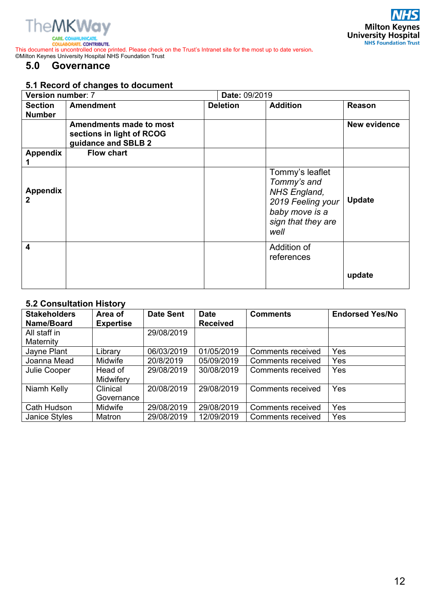

This document is uncontrolled once printed. Please check on the Trust's Intranet site for the most up to date version**.**  ©Milton Keynes University Hospital NHS Foundation Trust

#### <span id="page-11-0"></span>**5.0 Governance**

#### <span id="page-11-1"></span>**5.1 Record of changes to document**

| Version number: 7<br>Date: 09/2019 |                                                                                    |                 |                                                                                                                     |               |
|------------------------------------|------------------------------------------------------------------------------------|-----------------|---------------------------------------------------------------------------------------------------------------------|---------------|
| <b>Section</b><br><b>Number</b>    | <b>Amendment</b>                                                                   | <b>Deletion</b> | <b>Addition</b>                                                                                                     | Reason        |
|                                    | <b>Amendments made to most</b><br>sections in light of RCOG<br>guidance and SBLB 2 |                 |                                                                                                                     | New evidence  |
| <b>Appendix</b>                    | <b>Flow chart</b>                                                                  |                 |                                                                                                                     |               |
| <b>Appendix</b><br>2               |                                                                                    |                 | Tommy's leaflet<br>Tommy's and<br>NHS England,<br>2019 Feeling your<br>baby move is a<br>sign that they are<br>well | <b>Update</b> |
| 4                                  |                                                                                    |                 | Addition of<br>references                                                                                           |               |
|                                    |                                                                                    |                 |                                                                                                                     | update        |

#### <span id="page-11-2"></span>**5.2 Consultation History**

| <b>Stakeholders</b>  | Area of          | <b>Date Sent</b> | <b>Date</b>     | <b>Comments</b>          | <b>Endorsed Yes/No</b> |
|----------------------|------------------|------------------|-----------------|--------------------------|------------------------|
| Name/Board           | <b>Expertise</b> |                  | <b>Received</b> |                          |                        |
| All staff in         |                  | 29/08/2019       |                 |                          |                        |
| Maternity            |                  |                  |                 |                          |                        |
| Jayne Plant          | Library          | 06/03/2019       | 01/05/2019      | Comments received        | Yes                    |
| Joanna Mead          | <b>Midwife</b>   | 20/8/2019        | 05/09/2019      | Comments received        | Yes                    |
| Julie Cooper         | Head of          | 29/08/2019       | 30/08/2019      | Comments received        | Yes                    |
|                      | Midwifery        |                  |                 |                          |                        |
| Niamh Kelly          | Clinical         | 20/08/2019       | 29/08/2019      | <b>Comments received</b> | Yes                    |
|                      | Governance       |                  |                 |                          |                        |
| Cath Hudson          | Midwife          | 29/08/2019       | 29/08/2019      | <b>Comments received</b> | Yes                    |
| <b>Janice Styles</b> | Matron           | 29/08/2019       | 12/09/2019      | Comments received        | Yes                    |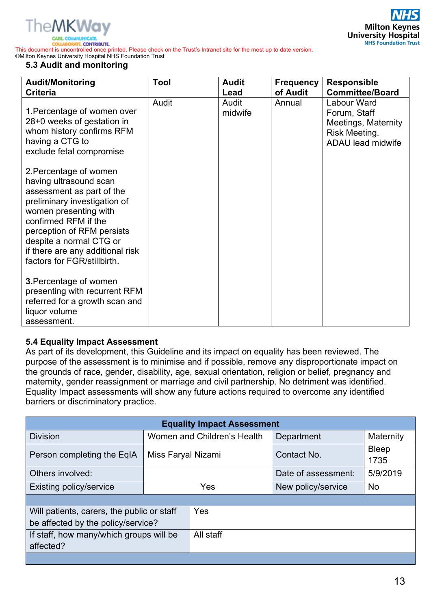**Milton Keynes University Hospital NHS Foundation Trust** 

E. CONTRIBUTE. This document is uncontrolled once printed. Please check on the Trust's Intranet site for the most up to date version**.**  ©Milton Keynes University Hospital NHS Foundation Trust

#### <span id="page-12-0"></span>**5.3 Audit and monitoring**

**TheMKW** 

| <b>Audit/Monitoring</b>                                                                                                                                                                                                                                                                    | Tool  | <b>Audit</b>     | <b>Frequency</b> | <b>Responsible</b>                                                                              |
|--------------------------------------------------------------------------------------------------------------------------------------------------------------------------------------------------------------------------------------------------------------------------------------------|-------|------------------|------------------|-------------------------------------------------------------------------------------------------|
| <b>Criteria</b>                                                                                                                                                                                                                                                                            |       | Lead             | of Audit         | <b>Committee/Board</b>                                                                          |
| 1. Percentage of women over<br>28+0 weeks of gestation in<br>whom history confirms RFM<br>having a CTG to<br>exclude fetal compromise                                                                                                                                                      | Audit | Audit<br>midwife | Annual           | Labour Ward<br>Forum, Staff<br>Meetings, Maternity<br>Risk Meeting.<br><b>ADAU</b> lead midwife |
| 2. Percentage of women<br>having ultrasound scan<br>assessment as part of the<br>preliminary investigation of<br>women presenting with<br>confirmed RFM if the<br>perception of RFM persists<br>despite a normal CTG or<br>if there are any additional risk<br>factors for FGR/stillbirth. |       |                  |                  |                                                                                                 |
| <b>3. Percentage of women</b><br>presenting with recurrent RFM<br>referred for a growth scan and<br>liquor volume<br>assessment.                                                                                                                                                           |       |                  |                  |                                                                                                 |

#### <span id="page-12-1"></span>**5.4 Equality Impact Assessment**

As part of its development, this Guideline and its impact on equality has been reviewed. The purpose of the assessment is to minimise and if possible, remove any disproportionate impact on the grounds of race, gender, disability, age, sexual orientation, religion or belief, pregnancy and maternity, gender reassignment or marriage and civil partnership. No detriment was identified. Equality Impact assessments will show any future actions required to overcome any identified barriers or discriminatory practice.

| <b>Equality Impact Assessment</b>                    |                    |                             |                     |                      |  |  |
|------------------------------------------------------|--------------------|-----------------------------|---------------------|----------------------|--|--|
| <b>Division</b>                                      |                    | Women and Children's Health | Department          | Maternity            |  |  |
| Person completing the EqIA                           | Miss Faryal Nizami |                             | Contact No.         | <b>Bleep</b><br>1735 |  |  |
| Others involved:                                     |                    |                             | Date of assessment: | 5/9/2019             |  |  |
| <b>Existing policy/service</b>                       | Yes                |                             | New policy/service  | <b>No</b>            |  |  |
|                                                      |                    |                             |                     |                      |  |  |
| Will patients, carers, the public or staff           |                    | Yes                         |                     |                      |  |  |
| be affected by the policy/service?                   |                    |                             |                     |                      |  |  |
| If staff, how many/which groups will be<br>affected? |                    | All staff                   |                     |                      |  |  |
|                                                      |                    |                             |                     |                      |  |  |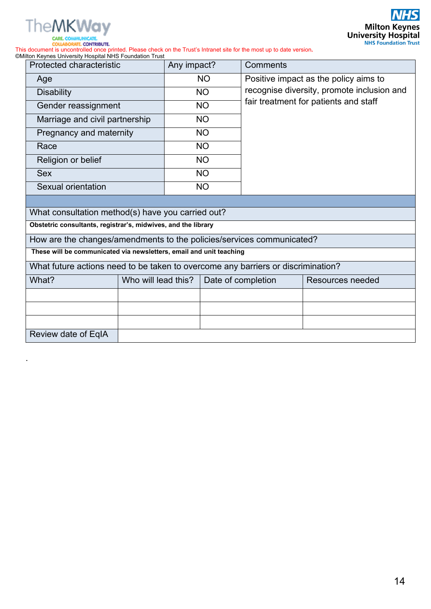

.

**NHS** Milton Keynes<br>University Hospital

CARE. COMMUNICATE.

This document is uncontrolled once printed. Please check on the Trust's Intranet site for the most up to date version**.**  ©Milton Keynes University Hospital NHS Foundation Trust

| Protected characteristic                                                         |                                                                       | Any impact? |                    | Comments |                                            |  |
|----------------------------------------------------------------------------------|-----------------------------------------------------------------------|-------------|--------------------|----------|--------------------------------------------|--|
| Age                                                                              |                                                                       |             | <b>NO</b>          |          | Positive impact as the policy aims to      |  |
| <b>Disability</b>                                                                |                                                                       |             | <b>NO</b>          |          | recognise diversity, promote inclusion and |  |
| Gender reassignment                                                              |                                                                       |             | <b>NO</b>          |          | fair treatment for patients and staff      |  |
| Marriage and civil partnership                                                   |                                                                       |             | <b>NO</b>          |          |                                            |  |
| Pregnancy and maternity                                                          |                                                                       |             | <b>NO</b>          |          |                                            |  |
| Race                                                                             |                                                                       |             | <b>NO</b>          |          |                                            |  |
| Religion or belief                                                               |                                                                       |             | <b>NO</b>          |          |                                            |  |
| <b>Sex</b>                                                                       |                                                                       |             | <b>NO</b>          |          |                                            |  |
| Sexual orientation                                                               |                                                                       |             | <b>NO</b>          |          |                                            |  |
|                                                                                  |                                                                       |             |                    |          |                                            |  |
|                                                                                  | What consultation method(s) have you carried out?                     |             |                    |          |                                            |  |
| Obstetric consultants, registrar's, midwives, and the library                    |                                                                       |             |                    |          |                                            |  |
|                                                                                  | How are the changes/amendments to the policies/services communicated? |             |                    |          |                                            |  |
|                                                                                  | These will be communicated via newsletters, email and unit teaching   |             |                    |          |                                            |  |
| What future actions need to be taken to overcome any barriers or discrimination? |                                                                       |             |                    |          |                                            |  |
| What?                                                                            | Who will lead this?                                                   |             | Date of completion |          | Resources needed                           |  |
|                                                                                  |                                                                       |             |                    |          |                                            |  |
|                                                                                  |                                                                       |             |                    |          |                                            |  |
|                                                                                  |                                                                       |             |                    |          |                                            |  |
| Review date of EqIA                                                              |                                                                       |             |                    |          |                                            |  |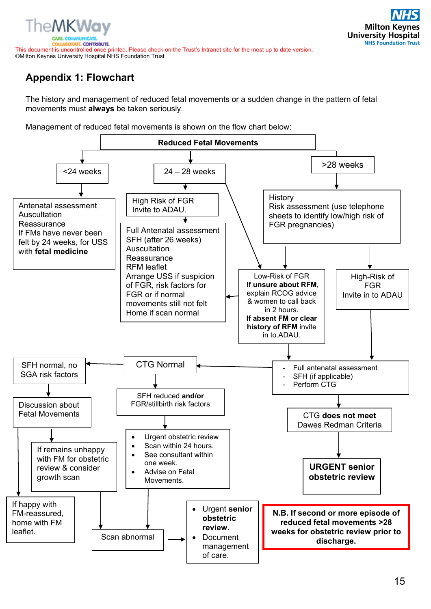# <span id="page-14-0"></span>**Appendix 1: Flowchart**

The history and management of reduced fetal movements or a sudden change in the pattern of fetal movements must **always** be taken seriously.

Management of reduced fetal movements is shown on the flow chart below:

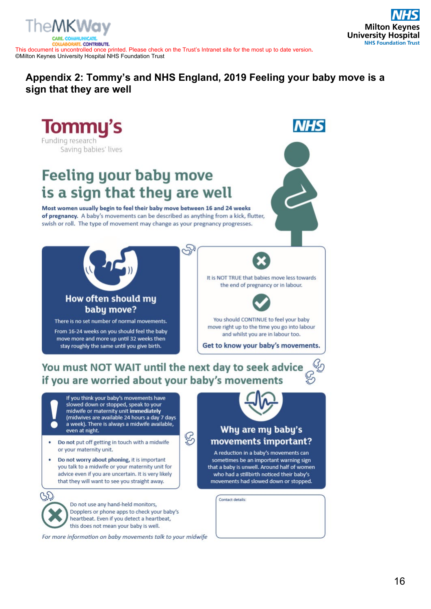

### <span id="page-15-0"></span>**Appendix 2: Tommy's and NHS England, 2019 Feeling your baby move is a sign that they are well**